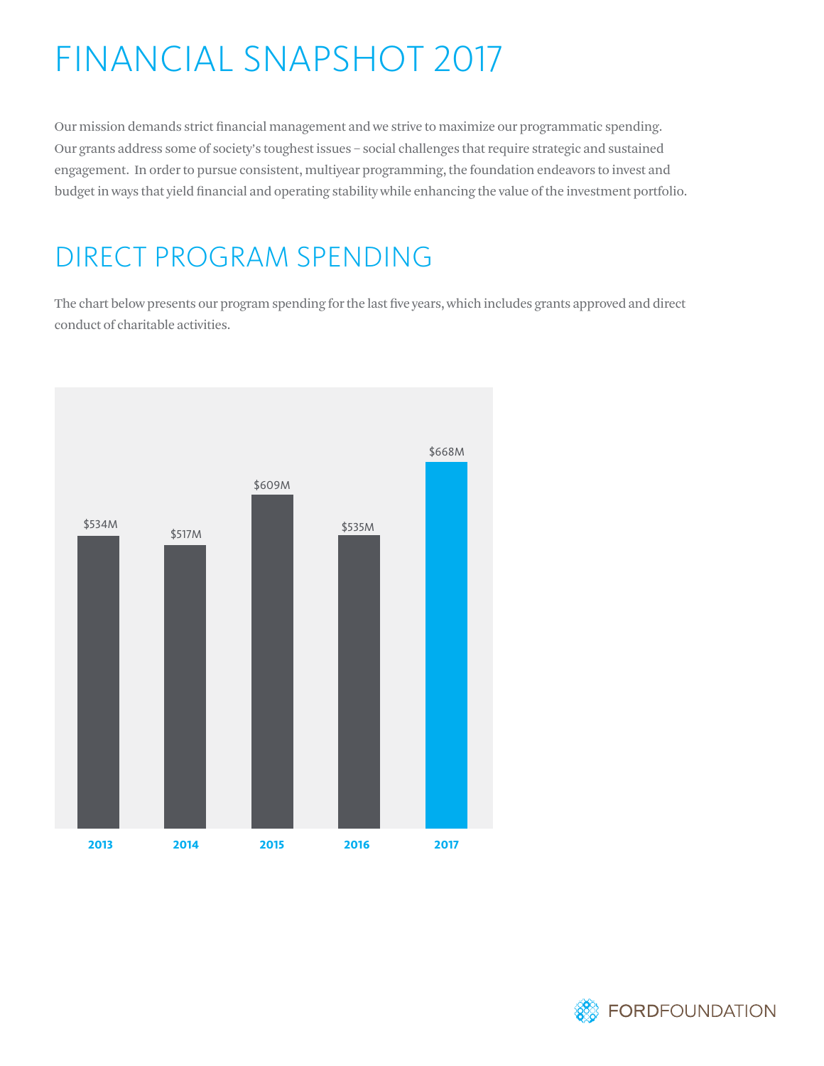# FINANCIAL SNAPSHOT 2017

Our mission demands strict financial management and we strive to maximize our programmatic spending. Our grants address some of society's toughest issues – social challenges that require strategic and sustained engagement. In order to pursue consistent, multiyear programming, the foundation endeavors to invest and budget in ways that yield financial and operating stability while enhancing the value of the investment portfolio.

### DIRECT PROGRAM SPENDING

The chart below presents our program spending for the last five years, which includes grants approved and direct conduct of charitable activities.



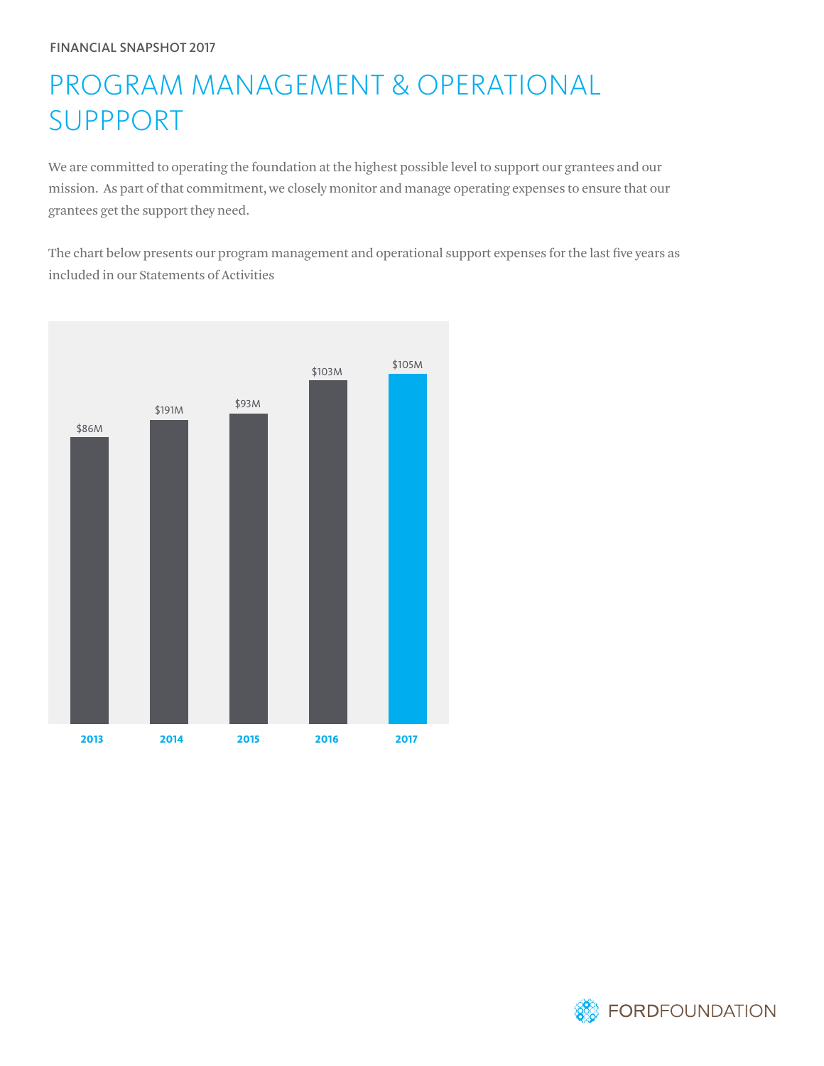## PROGRAM MANAGEMENT & OPERATIONAL SUPPPORT

We are committed to operating the foundation at the highest possible level to support our grantees and our mission. As part of that commitment, we closely monitor and manage operating expenses to ensure that our grantees get the support they need.

The chart below presents our program management and operational support expenses for the last five years as included in our Statements of Activities



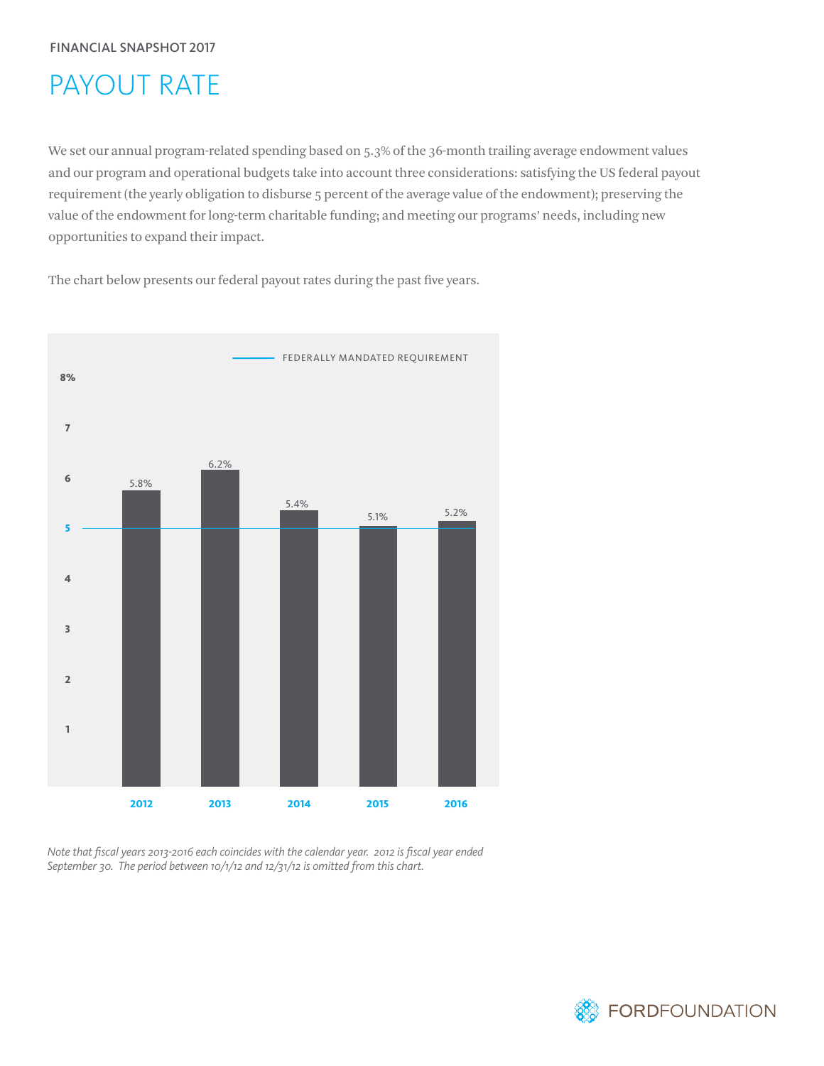## PAYOUT RATE

We set our annual program-related spending based on 5.3% of the 36-month trailing average endowment values and our program and operational budgets take into account three considerations: satisfying the US federal payout requirement (the yearly obligation to disburse 5 percent of the average value of the endowment); preserving the value of the endowment for long-term charitable funding; and meeting our programs' needs, including new opportunities to expand their impact.

The chart below presents our federal payout rates during the past five years.



*Note that fiscal years 2013-2016 each coincides with the calendar year. 2012 is fiscal year ended September 30. The period between 10/1/12 and 12/31/12 is omitted from this chart.*

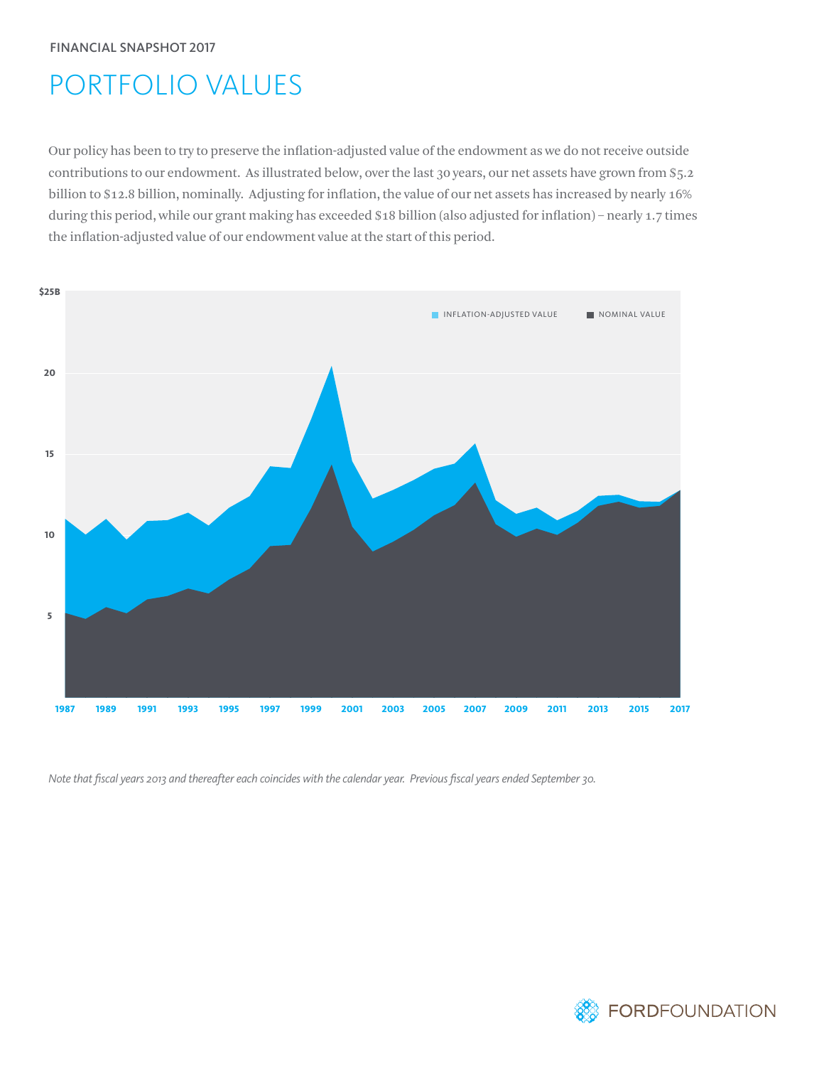## PORTFOLIO VALUES

Our policy has been to try to preserve the inflation-adjusted value of the endowment as we do not receive outside contributions to our endowment. As illustrated below, over the last 30 years, our net assets have grown from \$5.2 billion to \$12.8 billion, nominally. Adjusting for inflation, the value of our net assets has increased by nearly 16% during this period, while our grant making has exceeded \$18 billion (also adjusted for inflation) – nearly 1.7 times the inflation-adjusted value of our endowment value at the start of this period.



*Note that fiscal years 2013 and thereafter each coincides with the calendar year. Previous fiscal years ended September 30.*

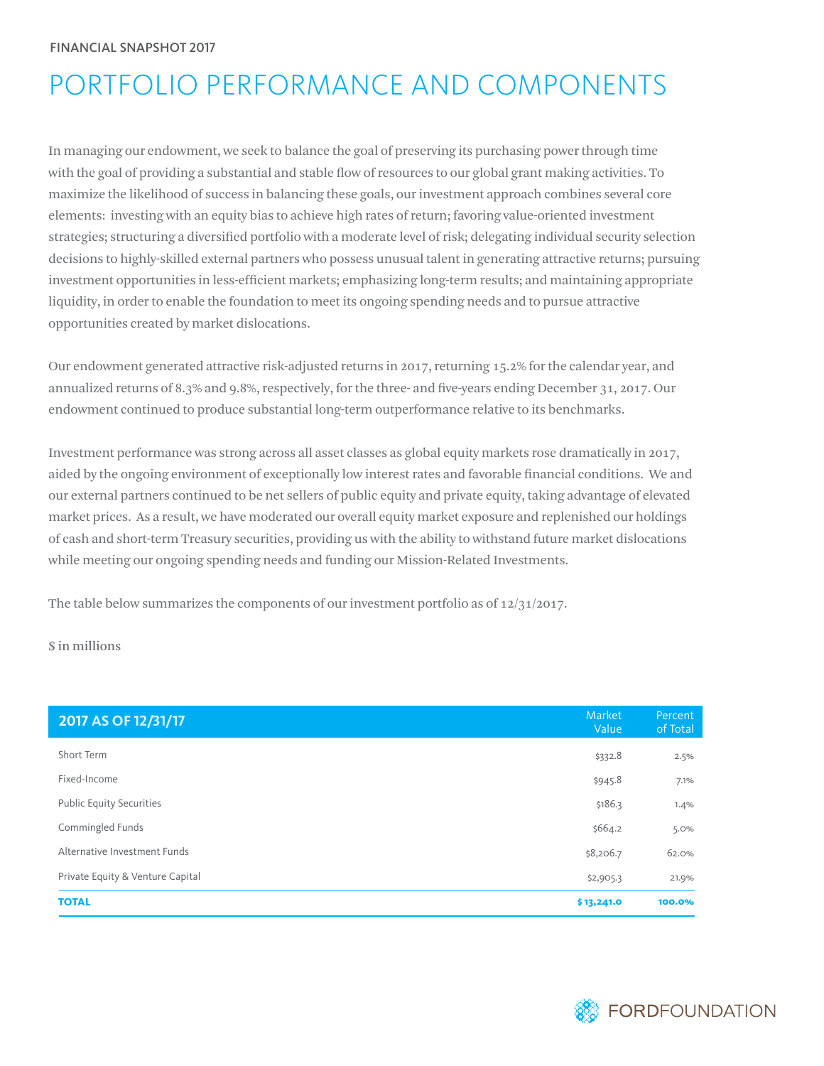## PORTFOLIO PERFORMANCE AND COMPONENTS

In managing our endowment, we seek to balance the goal of preserving its purchasing power through time with the goal of providing a substantial and stable flow of resources to our global grant making activities. To maximize the likelihood of success in balancing these goals, our investment approach combines several core elements: investing with an equity bias to achieve high rates of return; favoring value-oriented investment strategies; structuring a diversified portfolio with a moderate level of risk; delegating individual security selection decisions to highly-skilled external partners who possess unusual talent in generating attractive returns; pursuing investment opportunities in less-efficient markets; emphasizing long-term results; and maintaining appropriate liquidity, in order to enable the foundation to meet its ongoing spending needs and to pursue attractive opportunities created by market dislocations.

Our endowment generated attractive risk-adjusted returns in 2017, returning 15.2% for the calendar year, and annualized returns of 8.3% and 9.8%, respectively, for the three- and five-years ending December 31, 2017. Our endowment continued to produce substantial long-term outperformance relative to its benchmarks.

Investment performance was strong across all asset classes as global equity markets rose dramatically in 2017, aided by the ongoing environment of exceptionally low interest rates and favorable financial conditions. We and our external partners continued to be net sellers of public equity and private equity, taking advantage of elevated market prices. As a result, we have moderated our overall equity market exposure and replenished our holdings of cash and short-term Treasury securities, providing us with the ability to withstand future market dislocations while meeting our ongoing spending needs and funding our Mission-Related Investments.

The table below summarizes the components of our investment portfolio as of 12/31/2017.

\$ in millions

| 2017 AS OF 12/31/17              | Market<br>Value | Percent<br>of Total |
|----------------------------------|-----------------|---------------------|
| Short Term                       | \$332.8         | 2.5%                |
| Fixed-Income                     | \$945.8         | 7.1%                |
| <b>Public Equity Securities</b>  | \$186.3         | 1.4%                |
| Commingled Funds                 | \$664.2         | 5.0%                |
| Alternative Investment Funds     | \$8,206.7       | 62.0%               |
| Private Equity & Venture Capital | \$2,905.3       | 21.9%               |
| <b>TOTAL</b>                     | \$13,241.0      | 100.0%              |